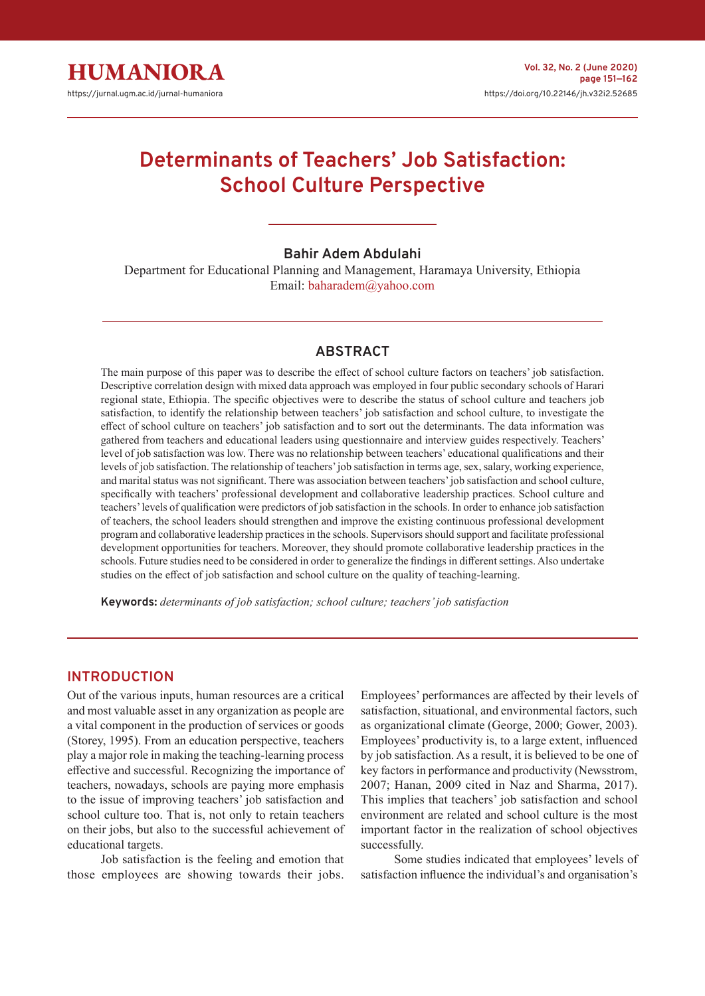

# **Determinants of Teachers' Job Satisfaction: School Culture Perspective**

### **Bahir Adem Abdulahi**

Department for Educational Planning and Management, Haramaya University, Ethiopia Email: baharadem@yahoo.com

## **ABSTRACT**

The main purpose of this paper was to describe the effect of school culture factors on teachers' job satisfaction. Descriptive correlation design with mixed data approach was employed in four public secondary schools of Harari regional state, Ethiopia. The specific objectives were to describe the status of school culture and teachers job satisfaction, to identify the relationship between teachers' job satisfaction and school culture, to investigate the effect of school culture on teachers' job satisfaction and to sort out the determinants. The data information was gathered from teachers and educational leaders using questionnaire and interview guides respectively. Teachers' level of job satisfaction was low. There was no relationship between teachers' educational qualifications and their levels of job satisfaction. The relationship of teachers' job satisfaction in terms age, sex, salary, working experience, and marital status was not significant. There was association between teachers' job satisfaction and school culture, specifically with teachers' professional development and collaborative leadership practices. School culture and teachers' levels of qualification were predictors of job satisfaction in the schools. In order to enhance job satisfaction of teachers, the school leaders should strengthen and improve the existing continuous professional development program and collaborative leadership practices in the schools. Supervisors should support and facilitate professional development opportunities for teachers. Moreover, they should promote collaborative leadership practices in the schools. Future studies need to be considered in order to generalize the findings in different settings. Also undertake studies on the effect of job satisfaction and school culture on the quality of teaching-learning.

**Keywords:** *determinants of job satisfaction; school culture; teachers' job satisfaction*

#### **INTRODUCTION**

Out of the various inputs, human resources are a critical and most valuable asset in any organization as people are a vital component in the production of services or goods (Storey, 1995). From an education perspective, teachers play a major role in making the teaching-learning process effective and successful. Recognizing the importance of teachers, nowadays, schools are paying more emphasis to the issue of improving teachers' job satisfaction and school culture too. That is, not only to retain teachers on their jobs, but also to the successful achievement of educational targets.

Job satisfaction is the feeling and emotion that those employees are showing towards their jobs. Employees' performances are affected by their levels of satisfaction, situational, and environmental factors, such as organizational climate (George, 2000; Gower, 2003). Employees' productivity is, to a large extent, influenced by job satisfaction. As a result, it is believed to be one of key factors in performance and productivity (Newsstrom, 2007; Hanan, 2009 cited in Naz and Sharma, 2017). This implies that teachers' job satisfaction and school environment are related and school culture is the most important factor in the realization of school objectives successfully.

Some studies indicated that employees' levels of satisfaction influence the individual's and organisation's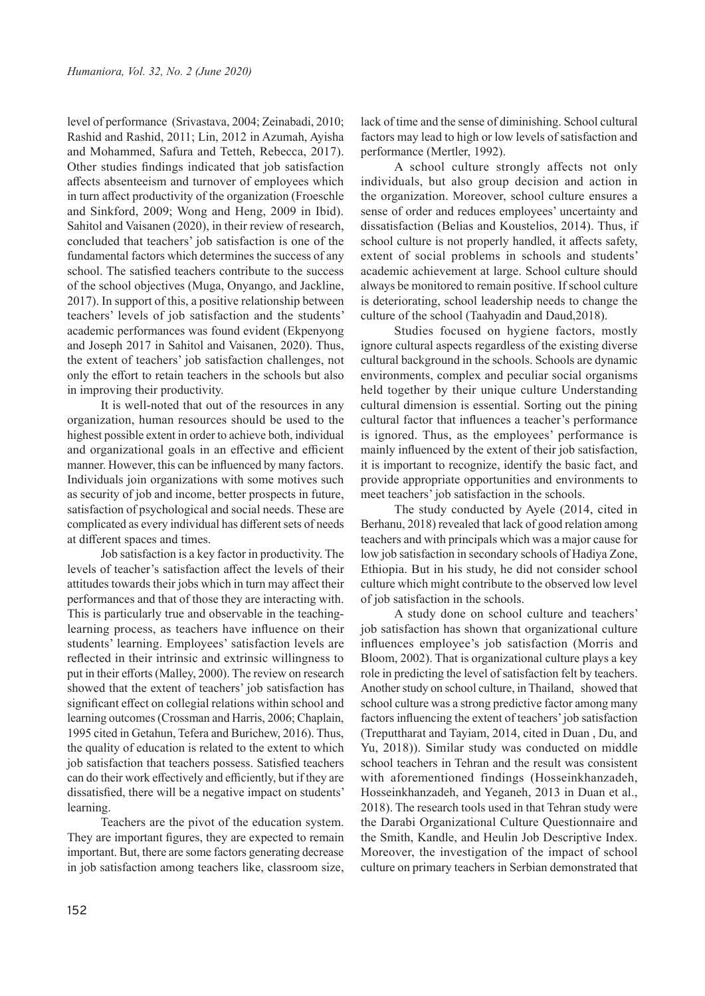level of performance (Srivastava, 2004; Zeinabadi, 2010; Rashid and Rashid, 2011; Lin, 2012 in Azumah, Ayisha and Mohammed, Safura and Tetteh, Rebecca, 2017). Other studies findings indicated that job satisfaction affects absenteeism and turnover of employees which in turn affect productivity of the organization (Froeschle and Sinkford, 2009; Wong and Heng, 2009 in Ibid). Sahitol and Vaisanen (2020), in their review of research, concluded that teachers' job satisfaction is one of the fundamental factors which determines the success of any school. The satisfied teachers contribute to the success of the school objectives (Muga, Onyango, and Jackline, 2017). In support of this, a positive relationship between teachers' levels of job satisfaction and the students' academic performances was found evident (Ekpenyong and Joseph 2017 in Sahitol and Vaisanen, 2020). Thus, the extent of teachers' job satisfaction challenges, not only the effort to retain teachers in the schools but also in improving their productivity.

It is well-noted that out of the resources in any organization, human resources should be used to the highest possible extent in order to achieve both, individual and organizational goals in an effective and efficient manner. However, this can be influenced by many factors. Individuals join organizations with some motives such as security of job and income, better prospects in future, satisfaction of psychological and social needs. These are complicated as every individual has different sets of needs at different spaces and times.

Job satisfaction is a key factor in productivity. The levels of teacher's satisfaction affect the levels of their attitudes towards their jobs which in turn may affect their performances and that of those they are interacting with. This is particularly true and observable in the teachinglearning process, as teachers have influence on their students' learning. Employees' satisfaction levels are reflected in their intrinsic and extrinsic willingness to put in their efforts (Malley, 2000). The review on research showed that the extent of teachers' job satisfaction has significant effect on collegial relations within school and learning outcomes (Crossman and Harris, 2006; Chaplain, 1995 cited in Getahun, Tefera and Burichew, 2016). Thus, the quality of education is related to the extent to which job satisfaction that teachers possess. Satisfied teachers can do their work effectively and efficiently, but if they are dissatisfied, there will be a negative impact on students' learning.

Teachers are the pivot of the education system. They are important figures, they are expected to remain important. But, there are some factors generating decrease in job satisfaction among teachers like, classroom size,

lack of time and the sense of diminishing. School cultural factors may lead to high or low levels of satisfaction and performance (Mertler, 1992).

A school culture strongly affects not only individuals, but also group decision and action in the organization. Moreover, school culture ensures a sense of order and reduces employees' uncertainty and dissatisfaction (Belias and Koustelios, 2014). Thus, if school culture is not properly handled, it affects safety, extent of social problems in schools and students' academic achievement at large. School culture should always be monitored to remain positive. If school culture is deteriorating, school leadership needs to change the culture of the school (Taahyadin and Daud,2018).

Studies focused on hygiene factors, mostly ignore cultural aspects regardless of the existing diverse cultural background in the schools. Schools are dynamic environments, complex and peculiar social organisms held together by their unique culture Understanding cultural dimension is essential. Sorting out the pining cultural factor that influences a teacher's performance is ignored. Thus, as the employees' performance is mainly influenced by the extent of their job satisfaction, it is important to recognize, identify the basic fact, and provide appropriate opportunities and environments to meet teachers' job satisfaction in the schools.

The study conducted by Ayele (2014, cited in Berhanu, 2018) revealed that lack of good relation among teachers and with principals which was a major cause for low job satisfaction in secondary schools of Hadiya Zone, Ethiopia. But in his study, he did not consider school culture which might contribute to the observed low level of job satisfaction in the schools.

A study done on school culture and teachers' job satisfaction has shown that organizational culture influences employee's job satisfaction (Morris and Bloom, 2002). That is organizational culture plays a key role in predicting the level of satisfaction felt by teachers. Another study on school culture, in Thailand, showed that school culture was a strong predictive factor among many factors influencing the extent of teachers' job satisfaction (Treputtharat and Tayiam, 2014, cited in Duan , Du, and Yu, 2018)). Similar study was conducted on middle school teachers in Tehran and the result was consistent with aforementioned findings (Hosseinkhanzadeh, Hosseinkhanzadeh, and Yeganeh, 2013 in Duan et al., 2018). The research tools used in that Tehran study were the Darabi Organizational Culture Questionnaire and the Smith, Kandle, and Heulin Job Descriptive Index. Moreover, the investigation of the impact of school culture on primary teachers in Serbian demonstrated that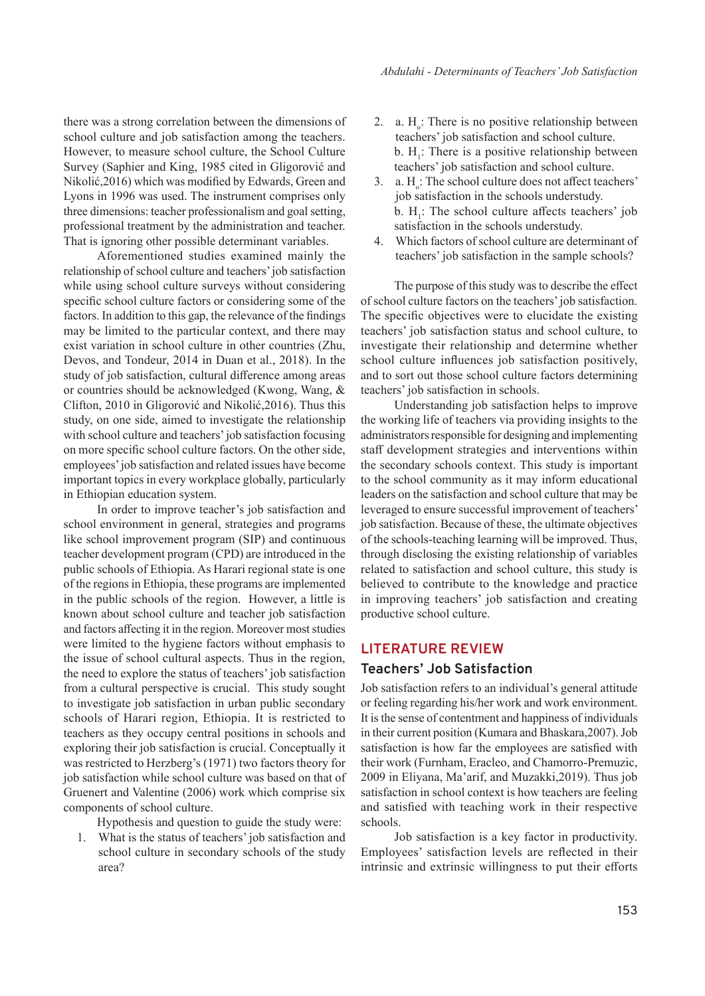there was a strong correlation between the dimensions of school culture and job satisfaction among the teachers. However, to measure school culture, the School Culture Survey (Saphier and King, 1985 cited in Gligorović and Nikolić,2016) which was modified by Edwards, Green and Lyons in 1996 was used. The instrument comprises only three dimensions: teacher professionalism and goal setting, professional treatment by the administration and teacher. That is ignoring other possible determinant variables.

Aforementioned studies examined mainly the relationship of school culture and teachers' job satisfaction while using school culture surveys without considering specific school culture factors or considering some of the factors. In addition to this gap, the relevance of the findings may be limited to the particular context, and there may exist variation in school culture in other countries (Zhu, Devos, and Tondeur, 2014 in Duan et al., 2018). In the study of job satisfaction, cultural difference among areas or countries should be acknowledged (Kwong, Wang, & Clifton, 2010 in Gligorović and Nikolić,2016). Thus this study, on one side, aimed to investigate the relationship with school culture and teachers' job satisfaction focusing on more specific school culture factors. On the other side, employees' job satisfaction and related issues have become important topics in every workplace globally, particularly in Ethiopian education system.

In order to improve teacher's job satisfaction and school environment in general, strategies and programs like school improvement program (SIP) and continuous teacher development program (CPD) are introduced in the public schools of Ethiopia. As Harari regional state is one of the regions in Ethiopia, these programs are implemented in the public schools of the region. However, a little is known about school culture and teacher job satisfaction and factors affecting it in the region. Moreover most studies were limited to the hygiene factors without emphasis to the issue of school cultural aspects. Thus in the region, the need to explore the status of teachers' job satisfaction from a cultural perspective is crucial. This study sought to investigate job satisfaction in urban public secondary schools of Harari region, Ethiopia. It is restricted to teachers as they occupy central positions in schools and exploring their job satisfaction is crucial. Conceptually it was restricted to Herzberg's (1971) two factors theory for job satisfaction while school culture was based on that of Gruenert and Valentine (2006) work which comprise six components of school culture.

Hypothesis and question to guide the study were:

1. What is the status of teachers' job satisfaction and school culture in secondary schools of the study area?

- 2. a.  $H<sub>o</sub>$ : There is no positive relationship between teachers' job satisfaction and school culture. b.  $H_1$ : There is a positive relationship between teachers' job satisfaction and school culture.
- 3. a.  $H_o$ : The school culture does not affect teachers' job satisfaction in the schools understudy. b.  $H_1$ : The school culture affects teachers' job satisfaction in the schools understudy.
- 4. Which factors of school culture are determinant of teachers' job satisfaction in the sample schools?

The purpose of this study was to describe the effect of school culture factors on the teachers' job satisfaction. The specific objectives were to elucidate the existing teachers' job satisfaction status and school culture, to investigate their relationship and determine whether school culture influences job satisfaction positively, and to sort out those school culture factors determining teachers' job satisfaction in schools.

Understanding job satisfaction helps to improve the working life of teachers via providing insights to the administrators responsible for designing and implementing staff development strategies and interventions within the secondary schools context. This study is important to the school community as it may inform educational leaders on the satisfaction and school culture that may be leveraged to ensure successful improvement of teachers' job satisfaction. Because of these, the ultimate objectives of the schools-teaching learning will be improved. Thus, through disclosing the existing relationship of variables related to satisfaction and school culture, this study is believed to contribute to the knowledge and practice in improving teachers' job satisfaction and creating productive school culture.

### **LITERATURE REVIEW**

## **Teachers' Job Satisfaction**

Job satisfaction refers to an individual's general attitude or feeling regarding his/her work and work environment. It is the sense of contentment and happiness of individuals in their current position (Kumara and Bhaskara,2007). Job satisfaction is how far the employees are satisfied with their work (Furnham, Eracleo, and Chamorro-Premuzic, 2009 in Eliyana, Ma'arif, and Muzakki,2019). Thus job satisfaction in school context is how teachers are feeling and satisfied with teaching work in their respective schools.

Job satisfaction is a key factor in productivity. Employees' satisfaction levels are reflected in their intrinsic and extrinsic willingness to put their efforts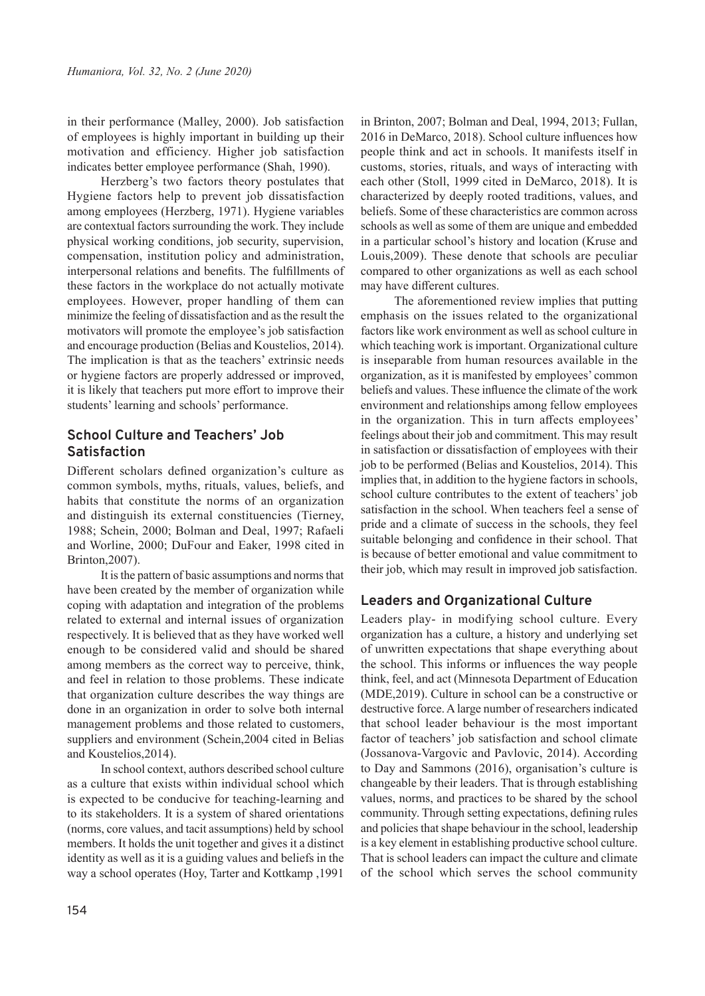in their performance (Malley, 2000). Job satisfaction of employees is highly important in building up their motivation and efficiency. Higher job satisfaction indicates better employee performance (Shah, 1990).

Herzberg's two factors theory postulates that Hygiene factors help to prevent job dissatisfaction among employees (Herzberg, 1971). Hygiene variables are contextual factors surrounding the work. They include physical working conditions, job security, supervision, compensation, institution policy and administration, interpersonal relations and benefits. The fulfillments of these factors in the workplace do not actually motivate employees. However, proper handling of them can minimize the feeling of dissatisfaction and as the result the motivators will promote the employee's job satisfaction and encourage production (Belias and Koustelios, 2014). The implication is that as the teachers' extrinsic needs or hygiene factors are properly addressed or improved, it is likely that teachers put more effort to improve their students' learning and schools' performance.

# **School Culture and Teachers' Job Satisfaction**

Different scholars defined organization's culture as common symbols, myths, rituals, values, beliefs, and habits that constitute the norms of an organization and distinguish its external constituencies (Tierney, 1988; Schein, 2000; Bolman and Deal, 1997; Rafaeli and Worline, 2000; DuFour and Eaker, 1998 cited in Brinton,2007).

It is the pattern of basic assumptions and norms that have been created by the member of organization while coping with adaptation and integration of the problems related to external and internal issues of organization respectively. It is believed that as they have worked well enough to be considered valid and should be shared among members as the correct way to perceive, think, and feel in relation to those problems. These indicate that organization culture describes the way things are done in an organization in order to solve both internal management problems and those related to customers, suppliers and environment (Schein,2004 cited in Belias and Koustelios,2014).

In school context, authors described school culture as a culture that exists within individual school which is expected to be conducive for teaching-learning and to its stakeholders. It is a system of shared orientations (norms, core values, and tacit assumptions) held by school members. It holds the unit together and gives it a distinct identity as well as it is a guiding values and beliefs in the way a school operates (Hoy, Tarter and Kottkamp ,1991

in Brinton, 2007; Bolman and Deal, 1994, 2013; Fullan, 2016 in DeMarco, 2018). School culture influences how people think and act in schools. It manifests itself in customs, stories, rituals, and ways of interacting with each other (Stoll, 1999 cited in DeMarco, 2018). It is characterized by deeply rooted traditions, values, and beliefs. Some of these characteristics are common across schools as well as some of them are unique and embedded in a particular school's history and location (Kruse and Louis,2009). These denote that schools are peculiar compared to other organizations as well as each school may have different cultures.

The aforementioned review implies that putting emphasis on the issues related to the organizational factors like work environment as well as school culture in which teaching work is important. Organizational culture is inseparable from human resources available in the organization, as it is manifested by employees' common beliefs and values. These influence the climate of the work environment and relationships among fellow employees in the organization. This in turn affects employees' feelings about their job and commitment. This may result in satisfaction or dissatisfaction of employees with their job to be performed (Belias and Koustelios, 2014). This implies that, in addition to the hygiene factors in schools, school culture contributes to the extent of teachers' job satisfaction in the school. When teachers feel a sense of pride and a climate of success in the schools, they feel suitable belonging and confidence in their school. That is because of better emotional and value commitment to their job, which may result in improved job satisfaction.

# **Leaders and Organizational Culture**

Leaders play- in modifying school culture. Every organization has a culture, a history and underlying set of unwritten expectations that shape everything about the school. This informs or influences the way people think, feel, and act (Minnesota Department of Education (MDE,2019). Culture in school can be a constructive or destructive force. A large number of researchers indicated that school leader behaviour is the most important factor of teachers' job satisfaction and school climate (Jossanova-Vargovic and Pavlovic, 2014). According to Day and Sammons (2016), organisation's culture is changeable by their leaders. That is through establishing values, norms, and practices to be shared by the school community. Through setting expectations, defining rules and policies that shape behaviour in the school, leadership is a key element in establishing productive school culture. That is school leaders can impact the culture and climate of the school which serves the school community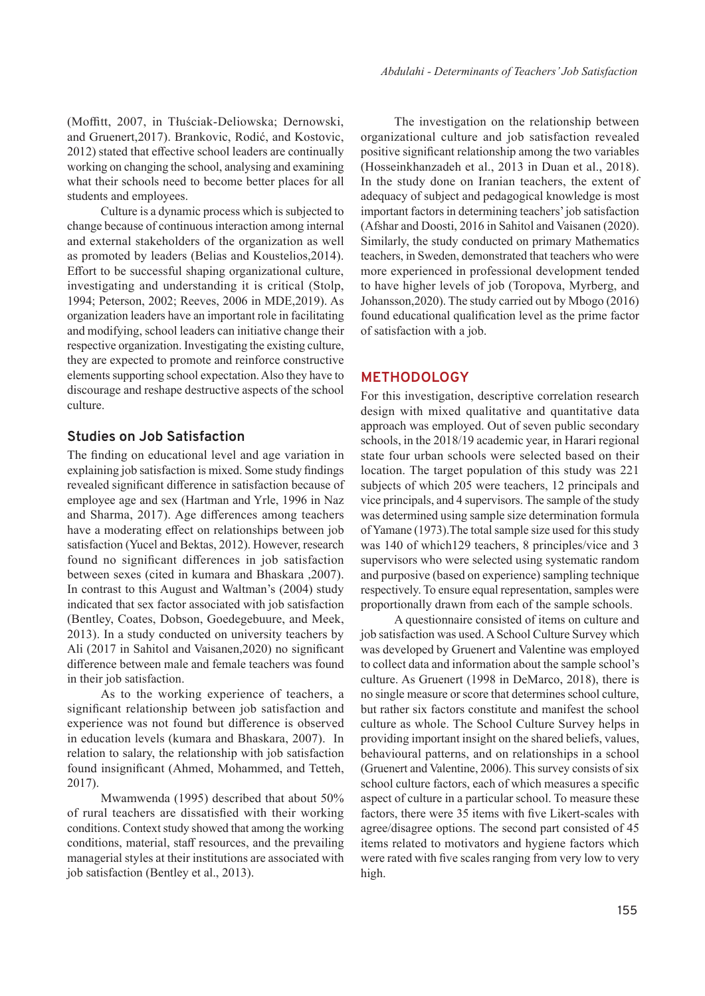(Moffitt, 2007, in Tłuściak-Deliowska; Dernowski, and Gruenert,2017). Brankovic, Rodić, and Kostovic, 2012) stated that effective school leaders are continually working on changing the school, analysing and examining what their schools need to become better places for all students and employees.

Culture is a dynamic process which is subjected to change because of continuous interaction among internal and external stakeholders of the organization as well as promoted by leaders (Belias and Koustelios,2014). Effort to be successful shaping organizational culture, investigating and understanding it is critical (Stolp, 1994; Peterson, 2002; Reeves, 2006 in MDE,2019). As organization leaders have an important role in facilitating and modifying, school leaders can initiative change their respective organization. Investigating the existing culture, they are expected to promote and reinforce constructive elements supporting school expectation. Also they have to discourage and reshape destructive aspects of the school culture.

# **Studies on Job Satisfaction**

The finding on educational level and age variation in explaining job satisfaction is mixed. Some study findings revealed significant difference in satisfaction because of employee age and sex (Hartman and Yrle, 1996 in Naz and Sharma, 2017). Age differences among teachers have a moderating effect on relationships between job satisfaction (Yucel and Bektas, 2012). However, research found no significant differences in job satisfaction between sexes (cited in kumara and Bhaskara ,2007). In contrast to this August and Waltman's (2004) study indicated that sex factor associated with job satisfaction (Bentley, Coates, Dobson, Goedegebuure, and Meek, 2013). In a study conducted on university teachers by Ali (2017 in Sahitol and Vaisanen,2020) no significant difference between male and female teachers was found in their job satisfaction.

As to the working experience of teachers, a significant relationship between job satisfaction and experience was not found but difference is observed in education levels (kumara and Bhaskara, 2007). In relation to salary, the relationship with job satisfaction found insignificant (Ahmed, Mohammed, and Tetteh, 2017).

Mwamwenda (1995) described that about 50% of rural teachers are dissatisfied with their working conditions. Context study showed that among the working conditions, material, staff resources, and the prevailing managerial styles at their institutions are associated with job satisfaction (Bentley et al., 2013).

The investigation on the relationship between organizational culture and job satisfaction revealed positive significant relationship among the two variables (Hosseinkhanzadeh et al., 2013 in Duan et al., 2018). In the study done on Iranian teachers, the extent of adequacy of subject and pedagogical knowledge is most important factors in determining teachers' job satisfaction (Afshar and Doosti, 2016 in Sahitol and Vaisanen (2020). Similarly, the study conducted on primary Mathematics teachers, in Sweden, demonstrated that teachers who were more experienced in professional development tended to have higher levels of job (Toropova, Myrberg, and Johansson,2020). The study carried out by Mbogo (2016) found educational qualification level as the prime factor of satisfaction with a job.

#### **METHODOLOGY**

For this investigation, descriptive correlation research design with mixed qualitative and quantitative data approach was employed. Out of seven public secondary schools, in the 2018/19 academic year, in Harari regional state four urban schools were selected based on their location. The target population of this study was 221 subjects of which 205 were teachers, 12 principals and vice principals, and 4 supervisors. The sample of the study was determined using sample size determination formula of Yamane (1973).The total sample size used for this study was 140 of which129 teachers, 8 principles/vice and 3 supervisors who were selected using systematic random and purposive (based on experience) sampling technique respectively. To ensure equal representation, samples were proportionally drawn from each of the sample schools.

A questionnaire consisted of items on culture and job satisfaction was used. A School Culture Survey which was developed by Gruenert and Valentine was employed to collect data and information about the sample school's culture. As Gruenert (1998 in DeMarco, 2018), there is no single measure or score that determines school culture, but rather six factors constitute and manifest the school culture as whole. The School Culture Survey helps in providing important insight on the shared beliefs, values, behavioural patterns, and on relationships in a school (Gruenert and Valentine, 2006). This survey consists of six school culture factors, each of which measures a specific aspect of culture in a particular school. To measure these factors, there were 35 items with five Likert-scales with agree/disagree options. The second part consisted of 45 items related to motivators and hygiene factors which were rated with five scales ranging from very low to very high.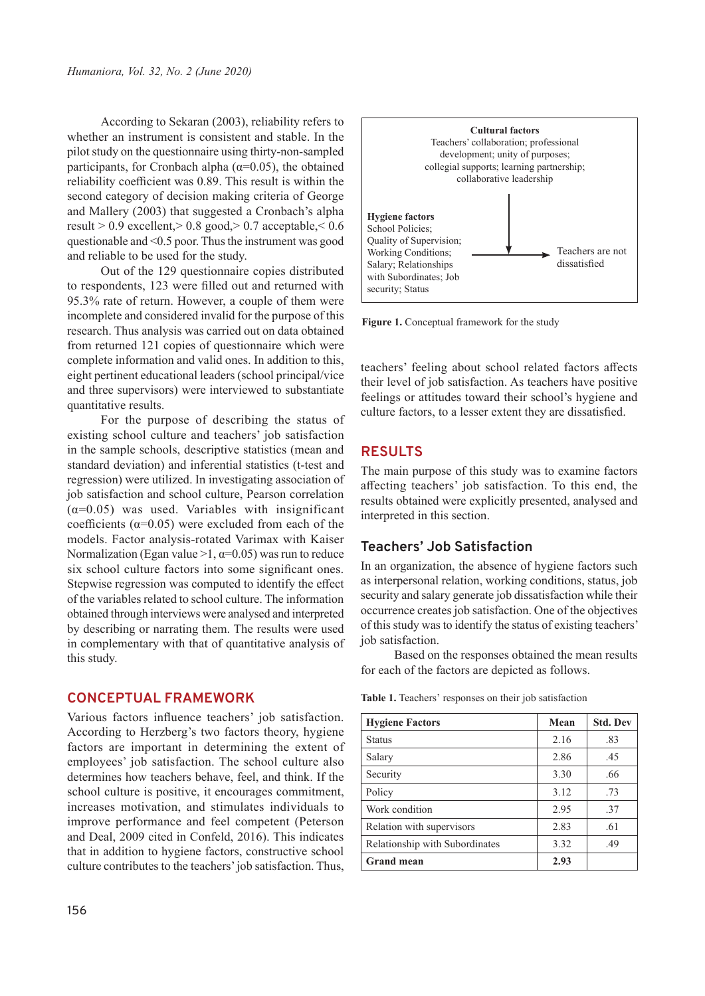According to Sekaran (2003), reliability refers to whether an instrument is consistent and stable. In the pilot study on the questionnaire using thirty-non-sampled participants, for Cronbach alpha ( $\alpha$ =0.05), the obtained reliability coefficient was 0.89. This result is within the second category of decision making criteria of George and Mallery (2003) that suggested a Cronbach's alpha result > 0.9 excellent,> 0.8 good,> 0.7 acceptable,< 0.6 questionable and <0.5 poor. Thus the instrument was good and reliable to be used for the study.

Out of the 129 questionnaire copies distributed to respondents, 123 were filled out and returned with 95.3% rate of return. However, a couple of them were incomplete and considered invalid for the purpose of this research. Thus analysis was carried out on data obtained from returned 121 copies of questionnaire which were complete information and valid ones. In addition to this, eight pertinent educational leaders (school principal/vice and three supervisors) were interviewed to substantiate quantitative results.

For the purpose of describing the status of existing school culture and teachers' job satisfaction in the sample schools, descriptive statistics (mean and standard deviation) and inferential statistics (t-test and regression) were utilized. In investigating association of job satisfaction and school culture, Pearson correlation  $(\alpha=0.05)$  was used. Variables with insignificant coefficients ( $\alpha$ =0.05) were excluded from each of the models. Factor analysis-rotated Varimax with Kaiser Normalization (Egan value  $>1$ ,  $\alpha=0.05$ ) was run to reduce six school culture factors into some significant ones. Stepwise regression was computed to identify the effect of the variables related to school culture. The information obtained through interviews were analysed and interpreted by describing or narrating them. The results were used in complementary with that of quantitative analysis of this study.

## **CONCEPTUAL FRAMEWORK**

Various factors influence teachers' job satisfaction. According to Herzberg's two factors theory, hygiene factors are important in determining the extent of employees' job satisfaction. The school culture also determines how teachers behave, feel, and think. If the school culture is positive, it encourages commitment, increases motivation, and stimulates individuals to improve performance and feel competent (Peterson and Deal, 2009 cited in Confeld, 2016). This indicates that in addition to hygiene factors, constructive school culture contributes to the teachers' job satisfaction. Thus,



Figure 1. Conceptual framework for the study

teachers' feeling about school related factors affects their level of job satisfaction. As teachers have positive feelings or attitudes toward their school's hygiene and culture factors, to a lesser extent they are dissatisfied.

### **RESULTS**

The main purpose of this study was to examine factors affecting teachers' job satisfaction. To this end, the results obtained were explicitly presented, analysed and interpreted in this section.

## **Teachers' Job Satisfaction**

In an organization, the absence of hygiene factors such as interpersonal relation, working conditions, status, job security and salary generate job dissatisfaction while their occurrence creates job satisfaction. One of the objectives of this study was to identify the status of existing teachers' job satisfaction.

Based on the responses obtained the mean results for each of the factors are depicted as follows.

| <b>Hygiene Factors</b>         | Mean | <b>Std. Dev</b> |
|--------------------------------|------|-----------------|
| <b>Status</b>                  | 2.16 | .83             |
| Salary                         | 2.86 | .45             |
| Security                       | 3.30 | .66             |
| Policy                         | 3.12 | .73             |
| Work condition                 | 2.95 | .37             |
| Relation with supervisors      | 2.83 | .61             |
| Relationship with Subordinates | 3.32 | .49             |
| <b>Grand mean</b>              | 2.93 |                 |

**Table 1.** Teachers' responses on their job satisfaction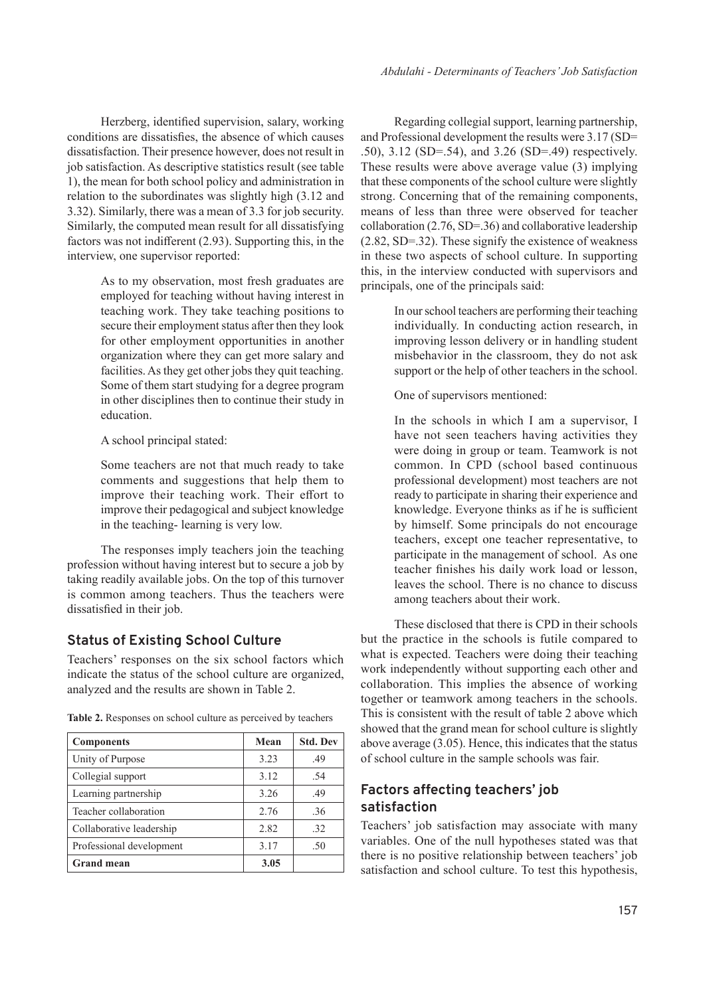Herzberg, identified supervision, salary, working conditions are dissatisfies, the absence of which causes dissatisfaction. Their presence however, does not result in job satisfaction. As descriptive statistics result (see table 1), the mean for both school policy and administration in relation to the subordinates was slightly high (3.12 and 3.32). Similarly, there was a mean of 3.3 for job security. Similarly, the computed mean result for all dissatisfying factors was not indifferent (2.93). Supporting this, in the interview, one supervisor reported:

> As to my observation, most fresh graduates are employed for teaching without having interest in teaching work. They take teaching positions to secure their employment status after then they look for other employment opportunities in another organization where they can get more salary and facilities. As they get other jobs they quit teaching. Some of them start studying for a degree program in other disciplines then to continue their study in education.

A school principal stated:

Some teachers are not that much ready to take comments and suggestions that help them to improve their teaching work. Their effort to improve their pedagogical and subject knowledge in the teaching- learning is very low.

The responses imply teachers join the teaching profession without having interest but to secure a job by taking readily available jobs. On the top of this turnover is common among teachers. Thus the teachers were dissatisfied in their job.

# **Status of Existing School Culture**

Teachers' responses on the six school factors which indicate the status of the school culture are organized, analyzed and the results are shown in Table 2.

| <b>Components</b>        | Mean | <b>Std. Dev</b> |
|--------------------------|------|-----------------|
| Unity of Purpose         | 3.23 | .49             |
| Collegial support        | 3.12 | .54             |
| Learning partnership     | 3.26 | .49             |
| Teacher collaboration    | 2.76 | .36             |
| Collaborative leadership | 2.82 | .32             |
| Professional development | 3.17 | .50             |
| <b>Grand mean</b>        | 3.05 |                 |

**Table 2.** Responses on school culture as perceived by teachers

Regarding collegial support, learning partnership, and Professional development the results were 3.17 (SD= .50), 3.12 (SD=.54), and 3.26 (SD=.49) respectively. These results were above average value (3) implying that these components of the school culture were slightly strong. Concerning that of the remaining components, means of less than three were observed for teacher collaboration (2.76, SD=.36) and collaborative leadership (2.82, SD=.32). These signify the existence of weakness in these two aspects of school culture. In supporting this, in the interview conducted with supervisors and principals, one of the principals said:

> In our school teachers are performing their teaching individually. In conducting action research, in improving lesson delivery or in handling student misbehavior in the classroom, they do not ask support or the help of other teachers in the school.

One of supervisors mentioned:

In the schools in which I am a supervisor, I have not seen teachers having activities they were doing in group or team. Teamwork is not common. In CPD (school based continuous professional development) most teachers are not ready to participate in sharing their experience and knowledge. Everyone thinks as if he is sufficient by himself. Some principals do not encourage teachers, except one teacher representative, to participate in the management of school. As one teacher finishes his daily work load or lesson, leaves the school. There is no chance to discuss among teachers about their work.

These disclosed that there is CPD in their schools but the practice in the schools is futile compared to what is expected. Teachers were doing their teaching work independently without supporting each other and collaboration. This implies the absence of working together or teamwork among teachers in the schools. This is consistent with the result of table 2 above which showed that the grand mean for school culture is slightly above average (3.05). Hence, this indicates that the status of school culture in the sample schools was fair.

# **Factors affecting teachers' job satisfaction**

Teachers' job satisfaction may associate with many variables. One of the null hypotheses stated was that there is no positive relationship between teachers' job satisfaction and school culture. To test this hypothesis,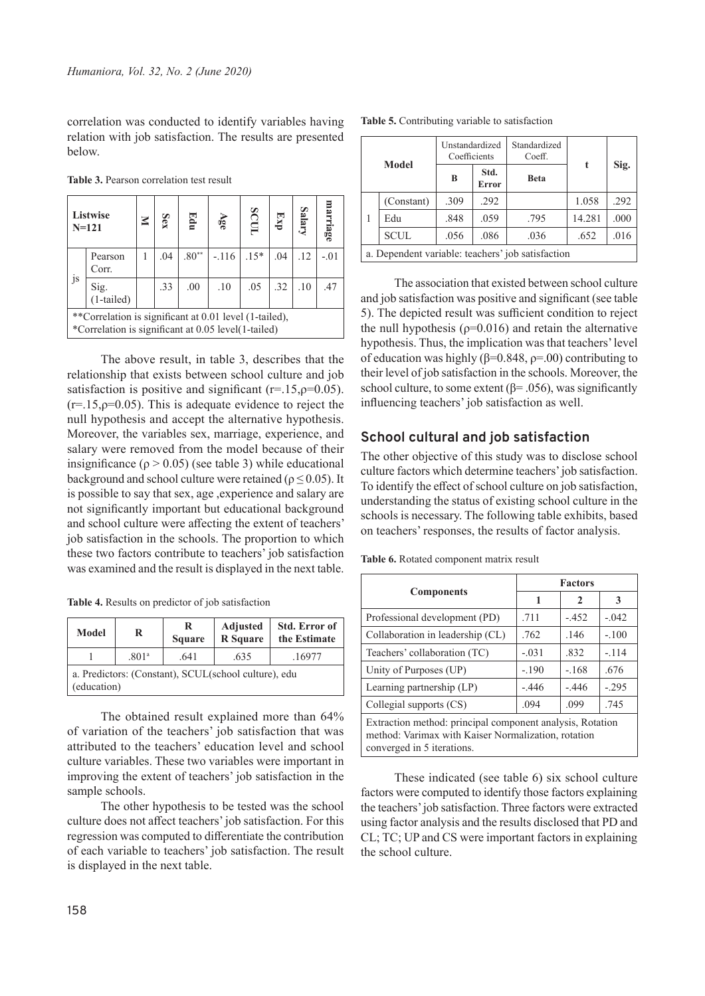correlation was conducted to identify variables having relation with job satisfaction. The results are presented below.

| <b>Table 3.</b> Pearson correlation test result |  |
|-------------------------------------------------|--|
|-------------------------------------------------|--|

|    | Listwise<br>$N = 121$                                                                                         |  | Sex | Edu     | Age     | scur   | $E_{\rm NP}$ | Salary | narriage |
|----|---------------------------------------------------------------------------------------------------------------|--|-----|---------|---------|--------|--------------|--------|----------|
|    | Pearson<br>Corr.                                                                                              |  | .04 | $.80**$ | $-.116$ | $.15*$ | .04          | .12    | $-.01$   |
| js | Sig.<br>(1-tailed)                                                                                            |  | .33 | .00     | .10     | .05    | .32          | .10    | .47      |
|    | **Correlation is significant at 0.01 level (1-tailed),<br>*Correlation is significant at 0.05 level(1-tailed) |  |     |         |         |        |              |        |          |

The above result, in table 3, describes that the relationship that exists between school culture and job satisfaction is positive and significant ( $r=15, p=0.05$ ).  $(r=15, p=0.05)$ . This is adequate evidence to reject the null hypothesis and accept the alternative hypothesis. Moreover, the variables sex, marriage, experience, and salary were removed from the model because of their insignificance ( $\rho > 0.05$ ) (see table 3) while educational background and school culture were retained ( $\rho \le 0.05$ ). It is possible to say that sex, age ,experience and salary are not significantly important but educational background and school culture were affecting the extent of teachers' job satisfaction in the schools. The proportion to which these two factors contribute to teachers' job satisfaction was examined and the result is displayed in the next table.

**Table 4.** Results on predictor of job satisfaction

| Model                                                               | R                 | R<br><b>Square</b> | <b>Adjusted</b><br>R Square | <b>Std. Error of</b><br>the Estimate |  |  |
|---------------------------------------------------------------------|-------------------|--------------------|-----------------------------|--------------------------------------|--|--|
|                                                                     | .801 <sup>a</sup> | .641               | .635                        | .16977                               |  |  |
| a. Predictors: (Constant), SCUL(school culture), edu<br>(education) |                   |                    |                             |                                      |  |  |

The obtained result explained more than 64% of variation of the teachers' job satisfaction that was attributed to the teachers' education level and school culture variables. These two variables were important in improving the extent of teachers' job satisfaction in the sample schools.

The other hypothesis to be tested was the school culture does not affect teachers' job satisfaction. For this regression was computed to differentiate the contribution of each variable to teachers' job satisfaction. The result is displayed in the next table.

| <b>Model</b>                                      | Unstandardized<br>Coefficients |                      | Standardized<br>Coeff. | t      | Sig. |  |
|---------------------------------------------------|--------------------------------|----------------------|------------------------|--------|------|--|
|                                                   | B                              | Std.<br><b>Error</b> | <b>Beta</b>            |        |      |  |
| (Constant)                                        | .309                           | .292                 |                        | 1.058  | .292 |  |
| Edu                                               | .848                           | .059                 | .795                   | 14.281 | .000 |  |
| <b>SCUL</b>                                       | .056                           | .086                 | .036                   | .652   | .016 |  |
| a. Dependent variable: teachers' job satisfaction |                                |                      |                        |        |      |  |

The association that existed between school culture and job satisfaction was positive and significant (see table 5). The depicted result was sufficient condition to reject the null hypothesis ( $p=0.016$ ) and retain the alternative hypothesis. Thus, the implication was that teachers' level of education was highly (β=0.848, ρ=.00) contributing to their level of job satisfaction in the schools. Moreover, the school culture, to some extent ( $\beta$ = .056), was significantly influencing teachers' job satisfaction as well.

## **School cultural and job satisfaction**

The other objective of this study was to disclose school culture factors which determine teachers' job satisfaction. To identify the effect of school culture on job satisfaction, understanding the status of existing school culture in the schools is necessary. The following table exhibits, based on teachers' responses, the results of factor analysis.

**Table 6.** Rotated component matrix result

|                                                                                                                                                | <b>Factors</b> |         |         |  |  |  |
|------------------------------------------------------------------------------------------------------------------------------------------------|----------------|---------|---------|--|--|--|
| <b>Components</b>                                                                                                                              | 1              | 2       | 3       |  |  |  |
| Professional development (PD)                                                                                                                  | .711           | $-.452$ | $-.042$ |  |  |  |
| Collaboration in leadership (CL)                                                                                                               | .762           | .146    | $-.100$ |  |  |  |
| Teachers' collaboration (TC)                                                                                                                   | $-.031$        | .832    | $-.114$ |  |  |  |
| Unity of Purposes (UP)                                                                                                                         | $-.190$        | $-.168$ | .676    |  |  |  |
| Learning partnership (LP)                                                                                                                      | $-.446$        | $-.446$ | $-.295$ |  |  |  |
| Collegial supports (CS)                                                                                                                        | .094           | .099    | .745    |  |  |  |
| Extraction method: principal component analysis, Rotation<br>method: Varimax with Kaiser Normalization, rotation<br>converged in 5 iterations. |                |         |         |  |  |  |

These indicated (see table 6) six school culture factors were computed to identify those factors explaining the teachers' job satisfaction. Three factors were extracted using factor analysis and the results disclosed that PD and CL; TC; UP and CS were important factors in explaining the school culture.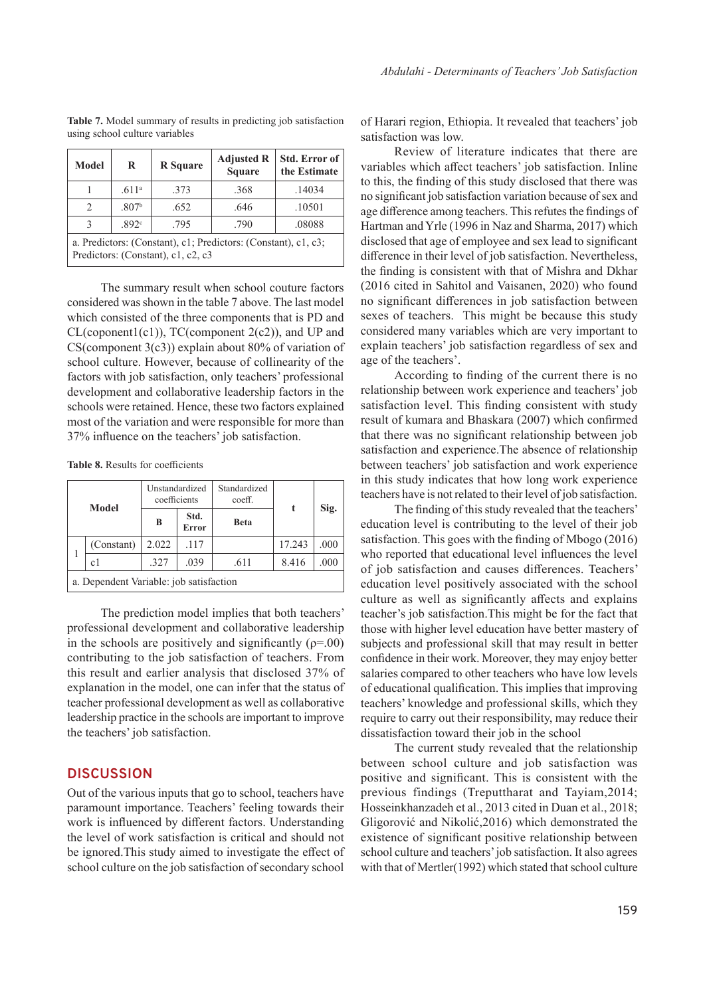| <b>Model</b>                                                                                         | R                 | <b>R</b> Square | <b>Adjusted R</b><br><b>Square</b> | <b>Std. Error of</b><br>the Estimate |  |  |  |
|------------------------------------------------------------------------------------------------------|-------------------|-----------------|------------------------------------|--------------------------------------|--|--|--|
|                                                                                                      | .611 <sup>a</sup> | .373            | .368                               | .14034                               |  |  |  |
| $\mathfrak{D}$                                                                                       | .807 <sup>b</sup> | .652            | .646                               | .10501                               |  |  |  |
| 3                                                                                                    | .892 <sup>c</sup> | .795            | .790                               | .08088                               |  |  |  |
| a. Predictors: (Constant), c1; Predictors: (Constant), c1, c3;<br>Predictors: (Constant), c1, c2, c3 |                   |                 |                                    |                                      |  |  |  |

**Table 7.** Model summary of results in predicting job satisfaction using school culture variables

The summary result when school couture factors considered was shown in the table 7 above. The last model which consisted of the three components that is PD and  $CL$ (coponent $1(c1)$ ),  $TC$ (component  $2(c2)$ ), and UP and CS(component  $3(c3)$ ) explain about  $80\%$  of variation of school culture. However, because of collinearity of the factors with job satisfaction, only teachers' professional development and collaborative leadership factors in the schools were retained. Hence, these two factors explained most of the variation and were responsible for more than 37% influence on the teachers' job satisfaction.

**Table 8.** Results for coefficients

| Model                                   |       | Unstandardized<br>Standardized<br>coefficients<br>coeff. |             |        |      |  |
|-----------------------------------------|-------|----------------------------------------------------------|-------------|--------|------|--|
|                                         | B     | Std.<br>Error                                            | <b>Beta</b> | t      | Sig. |  |
| (Constant)                              | 2.022 | .117                                                     |             | 17.243 | .000 |  |
| c1                                      | .327  | .039                                                     | .611        | 8.416  | .000 |  |
| a. Dependent Variable: job satisfaction |       |                                                          |             |        |      |  |

The prediction model implies that both teachers' professional development and collaborative leadership in the schools are positively and significantly  $(\rho = .00)$ contributing to the job satisfaction of teachers. From this result and earlier analysis that disclosed 37% of explanation in the model, one can infer that the status of teacher professional development as well as collaborative leadership practice in the schools are important to improve the teachers' job satisfaction.

#### **DISCUSSION**

Out of the various inputs that go to school, teachers have paramount importance. Teachers' feeling towards their work is influenced by different factors. Understanding the level of work satisfaction is critical and should not be ignored.This study aimed to investigate the effect of school culture on the job satisfaction of secondary school

of Harari region, Ethiopia. It revealed that teachers' job satisfaction was low.

Review of literature indicates that there are variables which affect teachers' job satisfaction. Inline to this, the finding of this study disclosed that there was no significant job satisfaction variation because of sex and age difference among teachers. This refutes the findings of Hartman and Yrle (1996 in Naz and Sharma, 2017) which disclosed that age of employee and sex lead to significant difference in their level of job satisfaction. Nevertheless, the finding is consistent with that of Mishra and Dkhar (2016 cited in Sahitol and Vaisanen, 2020) who found no significant differences in job satisfaction between sexes of teachers. This might be because this study considered many variables which are very important to explain teachers' job satisfaction regardless of sex and age of the teachers'.

According to finding of the current there is no relationship between work experience and teachers' job satisfaction level. This finding consistent with study result of kumara and Bhaskara (2007) which confirmed that there was no significant relationship between job satisfaction and experience.The absence of relationship between teachers' job satisfaction and work experience in this study indicates that how long work experience teachers have is not related to their level of job satisfaction.

The finding of this study revealed that the teachers' education level is contributing to the level of their job satisfaction. This goes with the finding of Mbogo (2016) who reported that educational level influences the level of job satisfaction and causes differences. Teachers' education level positively associated with the school culture as well as significantly affects and explains teacher's job satisfaction.This might be for the fact that those with higher level education have better mastery of subjects and professional skill that may result in better confidence in their work. Moreover, they may enjoy better salaries compared to other teachers who have low levels of educational qualification. This implies that improving teachers' knowledge and professional skills, which they require to carry out their responsibility, may reduce their dissatisfaction toward their job in the school

The current study revealed that the relationship between school culture and job satisfaction was positive and significant. This is consistent with the previous findings (Treputtharat and Tayiam,2014; Hosseinkhanzadeh et al., 2013 cited in Duan et al., 2018; Gligorović and Nikolić,2016) which demonstrated the existence of significant positive relationship between school culture and teachers' job satisfaction. It also agrees with that of Mertler(1992) which stated that school culture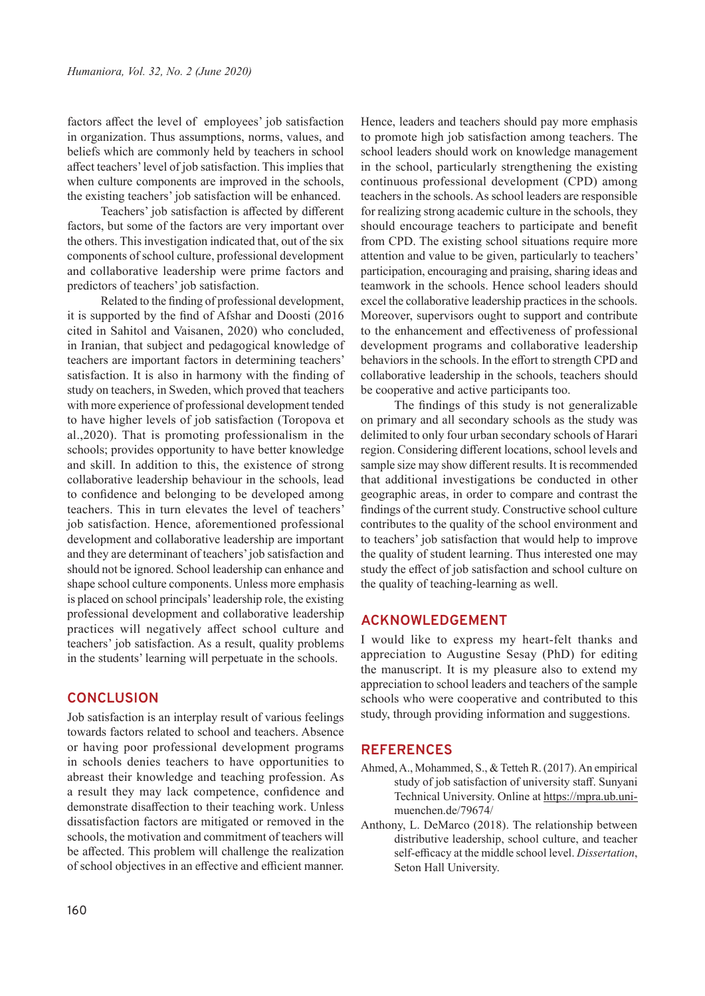factors affect the level of employees' job satisfaction in organization. Thus assumptions, norms, values, and beliefs which are commonly held by teachers in school affect teachers' level of job satisfaction. This implies that when culture components are improved in the schools, the existing teachers' job satisfaction will be enhanced.

Teachers' job satisfaction is affected by different factors, but some of the factors are very important over the others. This investigation indicated that, out of the six components of school culture, professional development and collaborative leadership were prime factors and predictors of teachers' job satisfaction.

Related to the finding of professional development, it is supported by the find of Afshar and Doosti (2016 cited in Sahitol and Vaisanen, 2020) who concluded, in Iranian, that subject and pedagogical knowledge of teachers are important factors in determining teachers' satisfaction. It is also in harmony with the finding of study on teachers, in Sweden, which proved that teachers with more experience of professional development tended to have higher levels of job satisfaction (Toropova et al.,2020). That is promoting professionalism in the schools; provides opportunity to have better knowledge and skill. In addition to this, the existence of strong collaborative leadership behaviour in the schools, lead to confidence and belonging to be developed among teachers. This in turn elevates the level of teachers' job satisfaction. Hence, aforementioned professional development and collaborative leadership are important and they are determinant of teachers' job satisfaction and should not be ignored. School leadership can enhance and shape school culture components. Unless more emphasis is placed on school principals' leadership role, the existing professional development and collaborative leadership practices will negatively affect school culture and teachers' job satisfaction. As a result, quality problems in the students' learning will perpetuate in the schools.

#### **CONCLUSION**

Job satisfaction is an interplay result of various feelings towards factors related to school and teachers. Absence or having poor professional development programs in schools denies teachers to have opportunities to abreast their knowledge and teaching profession. As a result they may lack competence, confidence and demonstrate disaffection to their teaching work. Unless dissatisfaction factors are mitigated or removed in the schools, the motivation and commitment of teachers will be affected. This problem will challenge the realization of school objectives in an effective and efficient manner.

Hence, leaders and teachers should pay more emphasis to promote high job satisfaction among teachers. The school leaders should work on knowledge management in the school, particularly strengthening the existing continuous professional development (CPD) among teachers in the schools. As school leaders are responsible for realizing strong academic culture in the schools, they should encourage teachers to participate and benefit from CPD. The existing school situations require more attention and value to be given, particularly to teachers' participation, encouraging and praising, sharing ideas and teamwork in the schools. Hence school leaders should excel the collaborative leadership practices in the schools. Moreover, supervisors ought to support and contribute to the enhancement and effectiveness of professional development programs and collaborative leadership behaviors in the schools. In the effort to strength CPD and collaborative leadership in the schools, teachers should be cooperative and active participants too.

The findings of this study is not generalizable on primary and all secondary schools as the study was delimited to only four urban secondary schools of Harari region. Considering different locations, school levels and sample size may show different results. It is recommended that additional investigations be conducted in other geographic areas, in order to compare and contrast the findings of the current study. Constructive school culture contributes to the quality of the school environment and to teachers' job satisfaction that would help to improve the quality of student learning. Thus interested one may study the effect of job satisfaction and school culture on the quality of teaching-learning as well.

#### **ACKNOWLEDGEMENT**

I would like to express my heart-felt thanks and appreciation to Augustine Sesay (PhD) for editing the manuscript. It is my pleasure also to extend my appreciation to school leaders and teachers of the sample schools who were cooperative and contributed to this study, through providing information and suggestions.

#### **REFERENCES**

- Ahmed, A., Mohammed, S., & Tetteh R. (2017). An empirical study of job satisfaction of university staff. Sunyani Technical University. Online at https://mpra.ub.unimuenchen.de/79674/
- Anthony, L. DeMarco (2018). The relationship between distributive leadership, school culture, and teacher self-efficacy at the middle school level. *Dissertation*, Seton Hall University.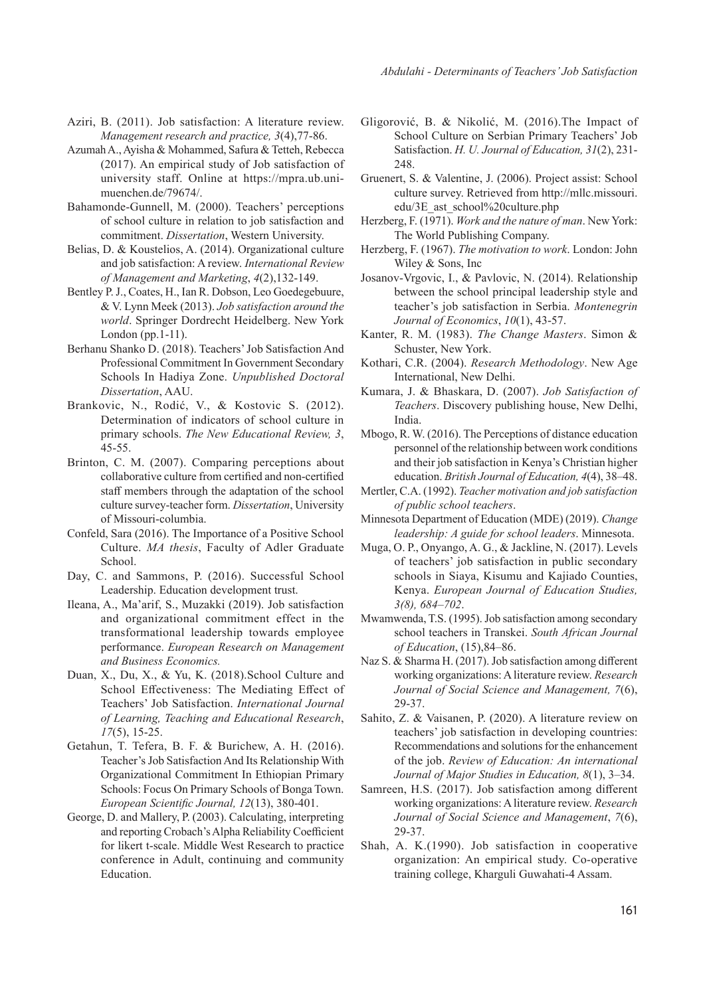- Aziri, B. (2011). Job satisfaction: A literature review. *Management research and practice, 3*(4),77-86.
- Azumah A., Ayisha & Mohammed, Safura & Tetteh, Rebecca (2017). An empirical study of Job satisfaction of university staff. Online at https://mpra.ub.unimuenchen.de/79674/.
- Bahamonde-Gunnell, M. (2000). Teachers' perceptions of school culture in relation to job satisfaction and commitment. *Dissertation*, Western University.
- Belias, D. & Koustelios, A. (2014). Organizational culture and job satisfaction: A review. *International Review of Management and Marketing*, *4*(2),132-149.
- Bentley P. J., Coates, H., Ian R. Dobson, Leo Goedegebuure, & V. Lynn Meek (2013). *Job satisfaction around the world*. Springer Dordrecht Heidelberg. New York London (pp.1-11).
- Berhanu Shanko D. (2018). Teachers' Job Satisfaction And Professional Commitment In Government Secondary Schools In Hadiya Zone. *Unpublished Doctoral Dissertation*, AAU.
- Brankovic, N., Rodić, V., & Kostovic S. (2012). Determination of indicators of school culture in primary schools. *The New Educational Review, 3*, 45-55.
- Brinton, C. M. (2007). Comparing perceptions about collaborative culture from certified and non-certified staff members through the adaptation of the school culture survey-teacher form. *Dissertation*, University of Missouri-columbia.
- Confeld, Sara (2016). The Importance of a Positive School Culture. *MA thesis*, Faculty of Adler Graduate School.
- Day, C. and Sammons, P. (2016). Successful School Leadership. Education development trust.
- Ileana, A., Ma'arif, S., Muzakki (2019). Job satisfaction and organizational commitment effect in the transformational leadership towards employee performance. *European Research on Management and Business Economics.*
- Duan, X., Du, X., & Yu, K. (2018).School Culture and School Effectiveness: The Mediating Effect of Teachers' Job Satisfaction. *International Journal of Learning, Teaching and Educational Research*, *17*(5), 15-25.
- Getahun, T. Tefera, B. F. & Burichew, A. H. (2016). Teacher's Job Satisfaction And Its Relationship With Organizational Commitment In Ethiopian Primary Schools: Focus On Primary Schools of Bonga Town. *European Scientific Journal, 12*(13), 380-401.
- George, D. and Mallery, P. (2003). Calculating, interpreting and reporting Crobach's Alpha Reliability Coefficient for likert t-scale. Middle West Research to practice conference in Adult, continuing and community Education.
- Gligorović, B. & Nikolić, M. (2016).The Impact of School Culture on Serbian Primary Teachers' Job Satisfaction. *H. U. Journal of Education, 31*(2), 231- 248.
- Gruenert, S. & Valentine, J. (2006). Project assist: School culture survey. Retrieved from http://mllc.missouri. edu/3E\_ast\_school%20culture.php
- Herzberg, F. (1971). *Work and the nature of man*. New York: The World Publishing Company.
- Herzberg, F. (1967). *The motivation to work*. London: John Wiley & Sons, Inc
- Josanov-Vrgovic, I., & Pavlovic, N. (2014). Relationship between the school principal leadership style and teacher's job satisfaction in Serbia. *Montenegrin Journal of Economics*, *10*(1), 43-57.
- Kanter, R. M. (1983). *The Change Masters*. Simon & Schuster, New York.
- Kothari, C.R. (2004). *Research Methodology*. New Age International, New Delhi.
- Kumara, J. & Bhaskara, D. (2007). *Job Satisfaction of Teachers*. Discovery publishing house, New Delhi, India.
- Mbogo, R. W. (2016). The Perceptions of distance education personnel of the relationship between work conditions and their job satisfaction in Kenya's Christian higher education. *British Journal of Education, 4*(4), 38–48.
- Mertler, C.A. (1992). *Teacher motivation and job satisfaction of public school teachers*.
- Minnesota Department of Education (MDE) (2019). *Change leadership: A guide for school leaders*. Minnesota.
- Muga, O. P., Onyango, A. G., & Jackline, N. (2017). Levels of teachers' job satisfaction in public secondary schools in Siaya, Kisumu and Kajiado Counties, Kenya. *European Journal of Education Studies, 3(8), 684–702*.
- Mwamwenda, T.S. (1995). Job satisfaction among secondary school teachers in Transkei. *South African Journal of Education*, (15),84–86.
- Naz S. & Sharma H. (2017). Job satisfaction among different working organizations: A literature review. *Research Journal of Social Science and Management, 7*(6), 29-37.
- Sahito, Z. & Vaisanen, P. (2020). A literature review on teachers' job satisfaction in developing countries: Recommendations and solutions for the enhancement of the job. *Review of Education: An international Journal of Major Studies in Education, 8*(1), 3–34.
- Samreen, H.S. (2017). Job satisfaction among different working organizations: A literature review. *Research Journal of Social Science and Management*, *7*(6), 29-37.
- Shah, A. K.(1990). Job satisfaction in cooperative organization: An empirical study. Co-operative training college, Kharguli Guwahati-4 Assam.